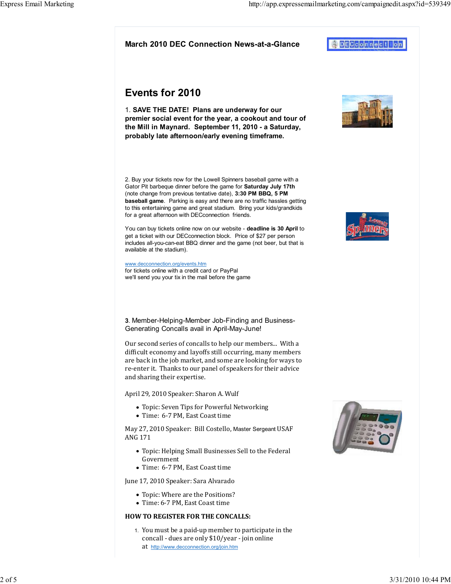# March 2010 DEC Connection News-at-a-Glance

# Events for 2010

1. SAVE THE DATE! Plans are underway for our premier social event for the year, a cookout and tour of the Mill in Maynard. September 11, 2010 - a Saturday, probably late afternoon/early evening timeframe.

2. Buy your tickets now for the Lowell Spinners baseball game with a Gator Pit barbeque dinner before the game for Saturday July 17th (note change from previous tentative date), 3:30 PM BBQ, 5 PM baseball game. Parking is easy and there are no traffic hassles getting to this entertaining game and great stadium. Bring your kids/grandkids for a great afternoon with DECconnection friends.

You can buy tickets online now on our website - deadline is 30 April to get a ticket with our DECconnection block. Price of \$27 per person includes all-you-can-eat BBQ dinner and the game (not beer, but that is available at the stadium).

#### www.decconnection.org/events.htm

for tickets online with a credit card or PayPal we'll send you your tix in the mail before the game

3. Member-Helping-Member Job-Finding and Business-Generating Concalls avail in April-May-June!

Our second series of concalls to help our members... With a dificult economy and layoffs still occurring, many members are back in the job market, and some are looking for ways to re-enter it. Thanks to our panel of speakers for their advice and sharing their expertise.

April 29, 2010 Speaker: Sharon A. Wulf

- Topic: Seven Tips for Powerful Networking
- Time: 6-7 PM, East Coast time

May 27, 2010 Speaker: Bill Costello, Master Sergeant USAF ANG 171

- Topic: Helping Small Businesses Sell to the Federal Government
- Time: 6-7 PM, East Coast time

June 17, 2010 Speaker: Sara Alvarado

- Topic: Where are the Positions?
- Time: 6-7 PM, East Coast time

### HOW TO REGISTER FOR THE CONCALLS:

1. You must be a paid-up member to participate in the concall - dues are only \$10/year - join online at http://www.decconnection.org/join.htm







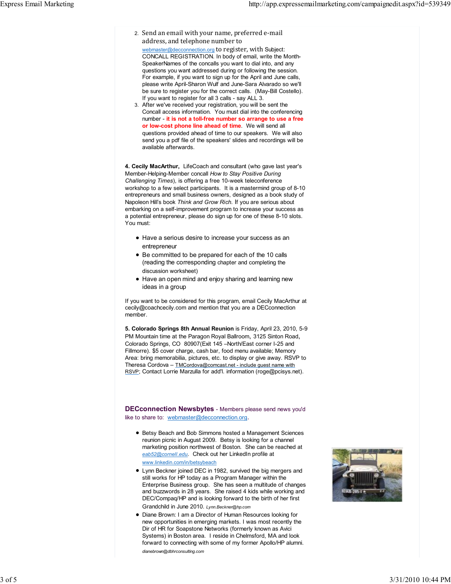- 2. Send an email with your name, preferred e-mail address, and telephone number to webmaster@decconnection.org to register, with Subject: CONCALL REGISTRATION. In body of email, write the Month-SpeakerNames of the concalls you want to dial into, and any questions you want addressed during or following the session. For example, if you want to sign up for the April and June calls, please write April-Sharon Wulf and June-Sara Alvarado so we'll be sure to register you for the correct calls. (May-Bill Costello). If you want to register for all 3 calls - say ALL 3.
- After we've received your registration, you will be sent the 3. Concall access information. You must dial into the conferencing number - it is not a toll-free number so arrange to use a free or low-cost phone line ahead of time. We will send all questions provided ahead of time to our speakers. We will also send you a pdf file of the speakers' slides and recordings will be available afterwards.

4. Cecily MacArthur, LifeCoach and consultant (who gave last year's Member-Helping-Member concall How to Stay Positive During Challenging Times), is offering a free 10-week teleconference workshop to a few select participants. It is a mastermind group of 8-10 entrepreneurs and small business owners, designed as a book study of Napoleon Hill's book Think and Grow Rich. If you are serious about embarking on a self-improvement program to increase your success as a potential entrepreneur, please do sign up for one of these 8-10 slots. You must:

- Have a serious desire to increase your success as an entrepreneur
- Be committed to be prepared for each of the 10 calls (reading the corresponding chapter and completing the discussion worksheet)
- Have an open mind and enjoy sharing and learning new ideas in a group

If you want to be considered for this program, email Cecily MacArthur at cecily@coachcecily.com and mention that you are a DECconnection member.

5. Colorado Springs 8th Annual Reunion is Friday, April 23, 2010, 5-9 PM Mountain time at the Paragon Royal Ballroom, 3125 Sinton Road, Colorado Springs, CO 80907(Exit 145 –North/East corner I-25 and Fillmorre). \$5 cover charge, cash bar, food menu available; Memory Area: bring memorabilia, pictures, etc. to display or give away. RSVP to Theresa Cordova – TMCordova@comcast.net - include guest name with RSVP; Contact Lorrie Marzulla for add'l. information (roge@pcisys.net).

DECconnection Newsbytes - Members please send news you'd like to share to: webmaster@decconnection.org.

- Betsy Beach and Bob Simmons hosted a Management Sciences reunion picnic in August 2009. Betsy is looking for a channel marketing position northwest of Boston. She can be reached at eab52@cornell.edu. Check out her LinkedIn profile at www.linkedin.com/in/betsybeach
- Lynn Beckner joined DEC in 1982, survived the big mergers and still works for HP today as a Program Manager within the Enterprise Business group. She has seen a multitude of changes and buzzwords in 28 years. She raised 4 kids while working and DEC/Compaq/HP and is looking forward to the birth of her first Grandchild in June 2010. Lynn.Beckner@hp.com
- Diane Brown: I am a Director of Human Resources looking for new opportunities in emerging markets. I was most recently the Dir of HR for Soapstone Networks (formerly known as Avici Systems) in Boston area. I reside in Chelmsford, MA and look forward to connecting with some of my former Apollo/HP alumni.

dianebrown@dbhrconsulting.com

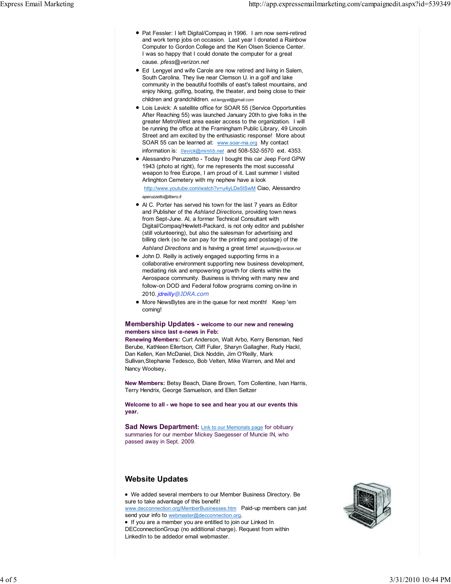- Pat Fessler: I left Digital/Compaq in 1996. I am now semi-retired and work temp jobs on occasion. Last year I donated a Rainbow Computer to Gordon College and the Ken Olsen Science Center. I was so happy that I could donate the computer for a great cause. pfess@verizon.net
- Ed Lengyel and wife Carole are now retired and living in Salem, South Carolina. They live near Clemson U. in a golf and lake community in the beautiful foothills of east's tallest mountains, and enjoy hiking, golfing, boating, the theater, and being close to their children and grandchildren. ed.lengyel@gmail.com
- Lois Levick: A satellite office for SOAR 55 (Service Opportunities After Reaching 55) was launched January 20th to give folks in the greater MetroWest area easier access to the organization. I will be running the office at the Framingham Public Library, 49 Lincoln Street and am excited by the enthusiastic response! More about SOAR 55 can be learned at: www.soar-ma.org My contact information is: *llevick@minlib.net* and 508-532-5570 ext. 4353.
- Alessandro Peruzzetto Today I bought this car Jeep Ford GPW 1943 (photo at right), for me represents the most successful weapon to free Europe, I am proud of it. Last summer I visited Arlinghton Cemetery with my nephew have a look http://www.youtube.com/watch?v=u4yLDe5lSwM Ciao, Alessandro

aperuzzetto@libero.it

- Al C. Porter has served his town for the last 7 years as Editor and Publisher of the Ashland Directions, providing town news from Sept-June. Al, a former Technical Consultant with Digital/Compaq/Hewlett-Packard, is not only editor and publisher (still volunteering), but also the salesman for advertising and billing clerk (so he can pay for the printing and postage) of the Ashland Directions and is having a great time! alcporter@verizon.net
- John D. Reilly is actively engaged supporting firms in a collaborative environment supporting new business development, mediating risk and empowering growth for clients within the Aerospace community. Business is thriving with many new and follow-on DOD and Federal follow programs coming on-line in 2010. jdreilly@JDRA.com
- More NewsBytes are in the queue for next month! Keep 'em coming!

#### Membership Updates - welcome to our new and renewing members since last e-news in Feb:

Renewing Members: Curt Anderson, Walt Arbo, Kerry Bensman, Ned Berube, Kathleen Ellertson, Cliff Fuller, Sharyn Gallagher, Rudy Hackl, Dan Kellen, Ken McDaniel, Dick Noddin, Jim O'Reilly, Mark Sullivan,Stephanie Tedesco, Bob Velten, Mike Warren, and Mel and Nancy Woolsey.

New Members: Betsy Beach, Diane Brown, Tom Collentine, Ivan Harris, Terry Hendrix, George Samuelson, and Ellen Seltzer

Welcome to all - we hope to see and hear you at our events this year.

**Sad News Department:** Link to our Memorials page for obituary summaries for our member Mickey Saegesser of Muncie IN, who passed away in Sept. 2009.

# Website Updates

We added several members to our Member Business Directory. Be sure to take advantage of this benefit! www.decconnection.org/MemberBusinesses.htm Paid-up members can just send your info to webmaster@decconnection.org. If you are a member you are entitled to join our Linked In

DECconnectionGroup (no additional charge). Request from within LinkedIn to be addedor email webmaster.